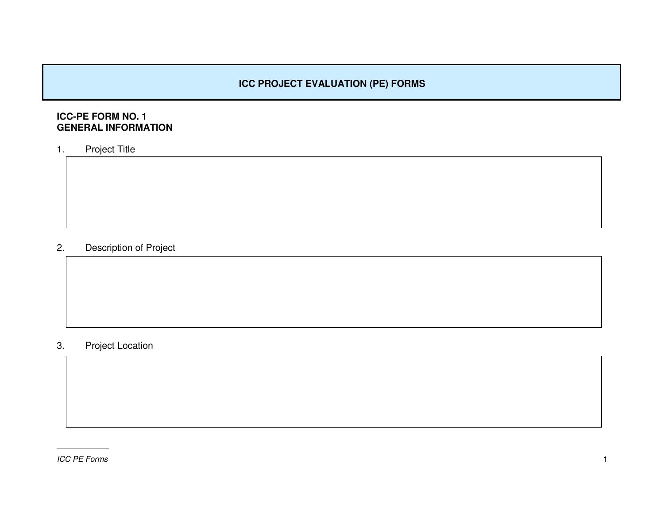# **ICC PROJECT EVALUATION (PE) FORMS**

# **ICC-PE FORM NO. 1 GENERAL INFORMATION**

1.Project Title

#### 2.Description of Project

#### 3.Project Location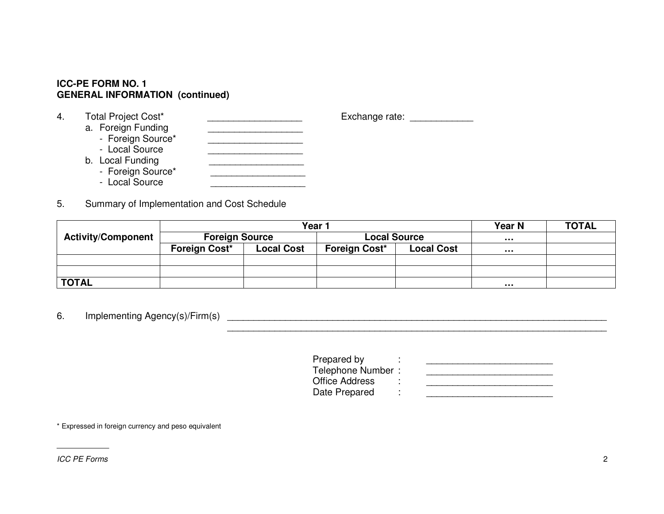#### **ICC-PE FORM NO. 1 GENERAL INFORMATION (continued)**

- 4.Total Project Cost\* \_\_\_\_\_\_\_\_\_\_\_\_\_\_\_\_\_\_\_\_\_\_\_\_\_\_\_\_ Exchange rate: \_\_\_\_\_\_\_\_\_\_\_\_\_\_\_\_ a. Foreign Funding \_\_\_\_\_\_\_\_\_\_\_\_\_\_\_\_\_\_\_\_\_\_\_ - Foreign Source\*  $\mathcal{F}_{\mathcal{S}}$  , which is a set of the source  $\mathcal{F}_{\mathcal{S}}$ - Local Source\_\_\_\_\_\_\_\_\_\_\_\_\_\_\_\_\_\_ b. Local Funding - Foreign Source\* \_\_\_\_\_\_\_\_\_\_\_\_\_\_\_\_\_\_\_\_\_\_\_ - Local Source
- 5.Summary of Implementation and Cost Schedule

|                           | Year N<br>Year <sup>-</sup> |                   |                                                                  |  |   | <b>TOTAL</b> |
|---------------------------|-----------------------------|-------------------|------------------------------------------------------------------|--|---|--------------|
| <b>Activity/Component</b> | <b>Foreign Source</b>       |                   | <b>Local Source</b><br><b>Foreign Cost*</b><br><b>Local Cost</b> |  |   |              |
|                           | Foreign Cost*               | <b>Local Cost</b> |                                                                  |  | . |              |
|                           |                             |                   |                                                                  |  |   |              |
|                           |                             |                   |                                                                  |  |   |              |
| <b>TOTAL</b>              |                             |                   |                                                                  |  | . |              |

6.Implementing Agency(s)/Firm(s) \_\_\_\_\_\_\_\_\_\_\_\_\_\_\_\_\_\_\_\_\_\_\_\_\_\_\_\_\_\_\_\_\_\_\_\_\_\_\_\_\_\_\_\_\_\_\_\_\_\_\_\_\_\_\_\_\_\_\_\_\_\_\_\_\_\_\_\_\_\_\_\_

> Prepared by : \_\_\_\_\_\_\_\_\_\_\_\_\_\_\_\_\_\_\_\_\_\_\_\_ Telephone Number : \_\_\_\_\_\_\_\_\_\_\_\_\_\_\_\_\_\_\_\_\_\_\_\_ Office Address : \_\_\_\_\_\_\_\_\_\_\_\_\_\_\_\_\_\_\_\_\_\_\_\_ Date Prepared  $\ddot{\bullet}$  : and the present set of the present set of the present set of the present set of the present set of the present set of the present set of the present set of the present set of the present set of the present set

\_\_\_\_\_\_\_\_\_\_\_\_\_\_\_\_\_\_\_\_\_\_\_\_\_\_\_\_\_\_\_\_\_\_\_\_\_\_\_\_\_\_\_\_\_\_\_\_\_\_\_\_\_\_\_\_\_\_\_\_\_\_\_\_\_\_\_\_\_\_\_\_

\* Expressed in foreign currency and peso equivalent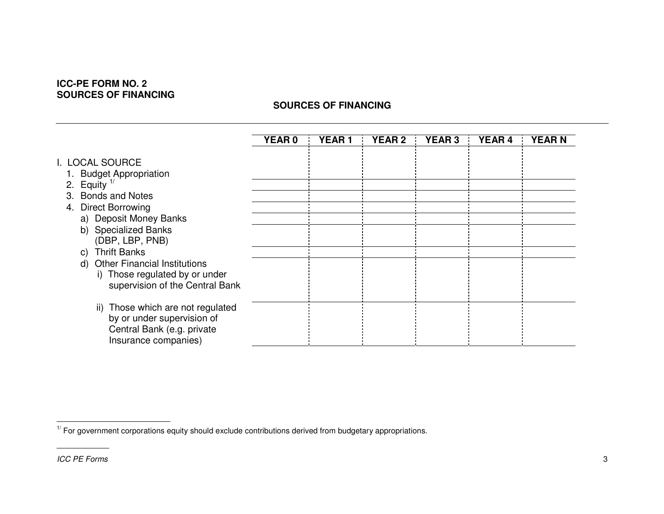# **ICC-PE FORM NO. 2 SOURCES OF FINANCING**

# **SOURCES OF FINANCING**

|                                                                                                                          | <b>YEAR0</b> | <b>YEAR1</b> | <b>YEAR 2</b> | <b>YEAR 3</b> | <b>YEAR 4</b> | <b>YEARN</b> |
|--------------------------------------------------------------------------------------------------------------------------|--------------|--------------|---------------|---------------|---------------|--------------|
| I. LOCAL SOURCE<br><b>Budget Appropriation</b><br>2. Equity $1/$<br>3. Bonds and Notes                                   |              |              |               |               |               |              |
| 4. Direct Borrowing                                                                                                      |              |              |               |               |               |              |
| a) Deposit Money Banks<br>b) Specialized Banks<br>(DBP, LBP, PNB)                                                        |              |              |               |               |               |              |
| <b>Thrift Banks</b><br>C)                                                                                                |              |              |               |               |               |              |
| <b>Other Financial Institutions</b><br>d)<br>i) Those regulated by or under<br>supervision of the Central Bank           |              |              |               |               |               |              |
| Those which are not regulated<br>ii)<br>by or under supervision of<br>Central Bank (e.g. private<br>Insurance companies) |              |              |               |               |               |              |

 $1'$  For government corporations equity should exclude contributions derived from budgetary appropriations.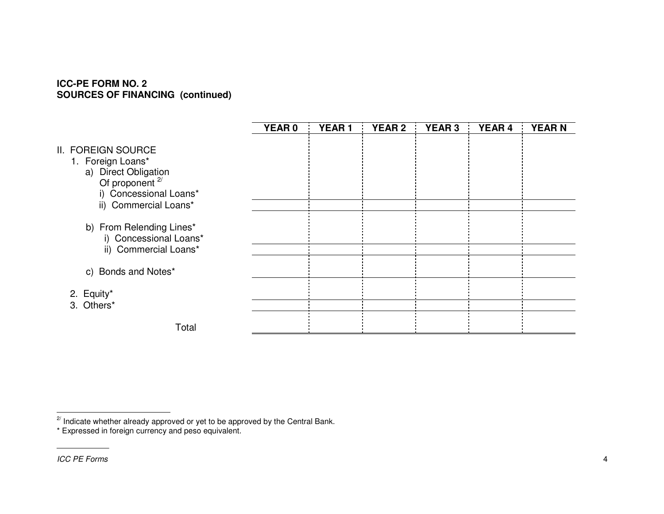#### **ICC-PE FORM NO. 2 SOURCES OF FINANCING (continued)**

|                                                                                                                                                  | <b>YEAR 0</b> | <b>YEAR1</b> | <b>YEAR 2</b> | <b>YEAR3</b> | <b>YEAR 4</b> | <b>YEARN</b> |
|--------------------------------------------------------------------------------------------------------------------------------------------------|---------------|--------------|---------------|--------------|---------------|--------------|
| II. FOREIGN SOURCE<br>1. Foreign Loans*<br>a) Direct Obligation<br>Of proponent <sup>2/</sup><br>i) Concessional Loans*<br>ii) Commercial Loans* |               |              |               |              |               |              |
| b) From Relending Lines*<br>i) Concessional Loans*<br>ii) Commercial Loans*                                                                      |               |              |               |              |               |              |
| c) Bonds and Notes*                                                                                                                              |               |              |               |              |               |              |
| 2. Equity*<br>3. Others*                                                                                                                         |               |              |               |              |               |              |
| Total                                                                                                                                            |               |              |               |              |               |              |

<sup>2/</sup> Indicate whether already approved or yet to be approved by the Central Bank.<br>\* Expressed in foreign currency and peso equivalent.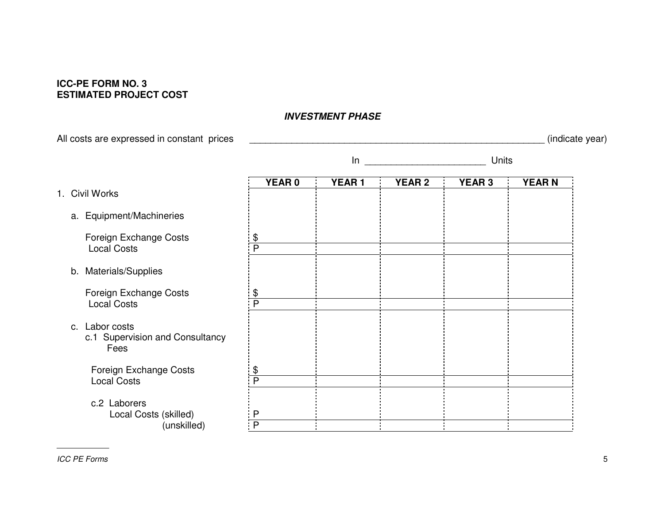# **ICC-PE FORM NO. 3 ESTIMATED PROJECT COST**

# All costs are expressed in constant prices \_\_\_\_\_\_\_\_\_\_\_\_\_\_\_\_\_\_\_\_\_\_\_\_\_\_\_\_\_\_\_\_\_\_\_\_\_\_\_\_\_\_\_\_\_\_\_\_\_\_\_\_\_\_\_\_ (indicate year) In the contract of the contract of the contract of the contract of the contract of the contract of the contract of the contract of the contract of the contract of the contract of the contract of the contract of the contrac \_\_\_\_\_\_\_\_\_\_\_\_\_\_\_\_\_\_\_\_\_\_\_ Units **YEAR 0 YEAR 1 YEAR 2 YEAR 3 YEAR N** 1. Civil Worksa. Equipment/Machineries Foreign Exchange Costs  $\frac{1 \text{ } \$}$ <br>
Local Costs  $\frac{?}$ Local Costss P b. Materials/Supplies Foreign Exchange Costs<br>  $\frac{1 \text{ s}}{P}$ Local Costss iP c. Labor costsc.1 Supervision and Consultancy FeesForeign Exchange Costs<br>  $\frac{1}{2}$  Ocal Costs Local Costss P c.2 Laborers Local Costs (skilled) P (unskilled) **P**

## *INVESTMENT PHASE*

*ICC PE Forms PE Forms* 5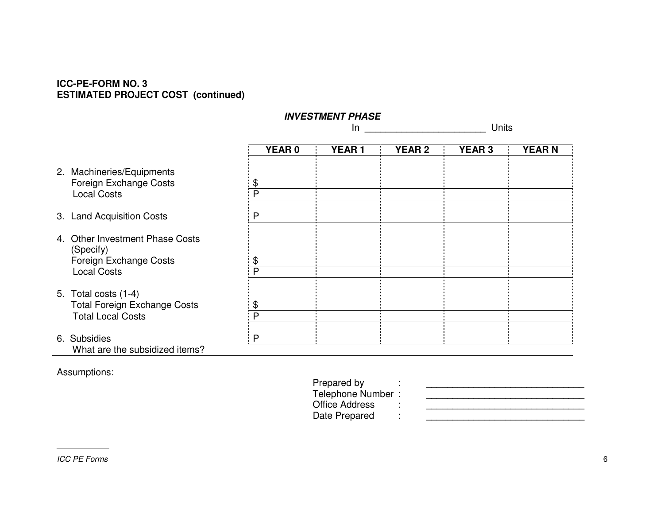#### **ICC-PE-FORM NO. 3 ESTIMATED PROJECT COST (continued)**

|                                                                                                                 | <b>INVESTMENT PHASE</b><br>In |              |               | Units         |              |  |
|-----------------------------------------------------------------------------------------------------------------|-------------------------------|--------------|---------------|---------------|--------------|--|
|                                                                                                                 | <b>YEAR0</b>                  | <b>YEAR1</b> | <b>YEAR 2</b> | <b>YEAR 3</b> | <b>YEARN</b> |  |
| 2. Machineries/Equipments<br>Foreign Exchange Costs<br><b>Local Costs</b>                                       | \$<br>P                       |              |               |               |              |  |
| 3. Land Acquisition Costs                                                                                       | P                             |              |               |               |              |  |
| 4. Other Investment Phase Costs<br>(Specify)<br>Foreign Exchange Costs                                          | \$<br>P                       |              |               |               |              |  |
| <b>Local Costs</b><br>5. Total costs $(1-4)$<br><b>Total Foreign Exchange Costs</b><br><b>Total Local Costs</b> | \$<br>P                       |              |               |               |              |  |
| 6. Subsidies<br>What are the subsidized items?                                                                  | P                             |              |               |               |              |  |

Assumptions:

Office Address : **Date Prepared**  $\mathbf{P}=\mathbf{P}$  , we are defined in the set of the set of the set of the set of the set of the set of the set of the set of the set of the set of the set of the set of the set of the set of the set of the set of the set of

Prepared by : \_\_\_\_\_\_\_\_\_\_\_\_\_\_\_\_\_\_\_\_\_\_\_\_\_\_\_\_\_\_ Telephone Number : \_\_\_\_\_\_\_\_\_\_\_\_\_\_\_\_\_\_\_\_\_\_\_\_\_\_\_\_\_\_ \_\_\_\_\_\_\_\_\_\_\_\_\_\_\_\_\_\_\_\_\_\_\_\_\_\_\_\_\_\_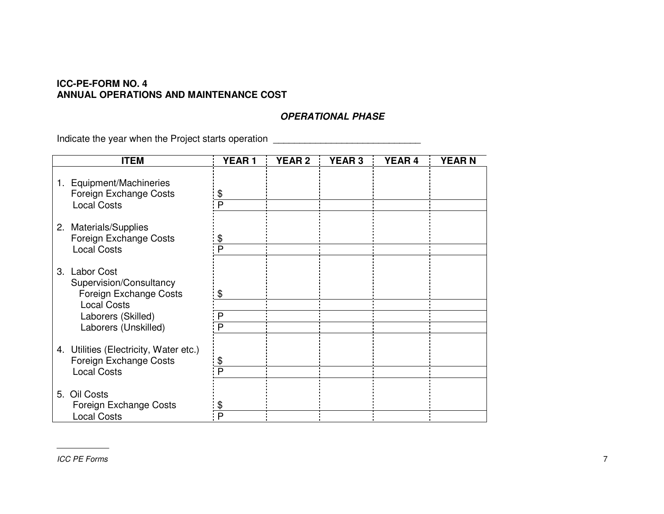#### **ICC-PE-FORM NO. 4 ANNUAL OPERATIONS AND MAINTENANCE COST**

#### *OPERATIONAL PHASE*

Indicate the year when the Project starts operation \_\_\_\_\_\_\_\_\_\_\_\_\_\_\_\_\_\_\_\_\_\_\_\_\_\_\_\_

| <b>ITEM</b>                                                                              | <b>YEAR1</b> | <b>YEAR 2</b> | <b>YEAR 3</b> | <b>YEAR 4</b> | <b>YEARN</b> |
|------------------------------------------------------------------------------------------|--------------|---------------|---------------|---------------|--------------|
| 1. Equipment/Machineries<br>Foreign Exchange Costs<br><b>Local Costs</b>                 | \$<br>Þ      |               |               |               |              |
| 2. Materials/Supplies<br>Foreign Exchange Costs<br><b>Local Costs</b>                    | \$           |               |               |               |              |
| 3. Labor Cost<br>Supervision/Consultancy<br>Foreign Exchange Costs<br><b>Local Costs</b> | \$           |               |               |               |              |
| Laborers (Skilled)<br>Laborers (Unskilled)                                               | P<br>P       |               |               |               |              |
| 4. Utilities (Electricity, Water etc.)<br>Foreign Exchange Costs<br><b>Local Costs</b>   |              |               |               |               |              |
| 5. Oil Costs<br>Foreign Exchange Costs<br><b>Local Costs</b>                             |              |               |               |               |              |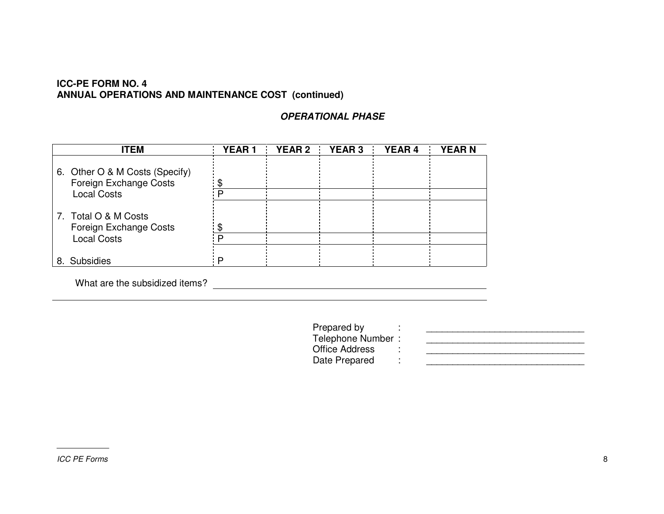#### **ICC-PE FORM NO. 4 ANNUAL OPERATIONS AND MAINTENANCE COST (continued)**

# *OPERATIONAL PHASE*

|    | <b>ITEM</b>                                              | <b>YEAR1</b> | YEAR 2 YEAR 3 YEAR 4 | <b>YEARN</b> |
|----|----------------------------------------------------------|--------------|----------------------|--------------|
|    | 6. Other O & M Costs (Specify)<br>Foreign Exchange Costs |              |                      |              |
|    | <b>Local Costs</b>                                       |              |                      |              |
|    | 7. Total O & M Costs<br>Foreign Exchange Costs           |              |                      |              |
|    | <b>Local Costs</b>                                       |              |                      |              |
| 8. | <b>Subsidies</b>                                         | n            |                      |              |

What are the subsidized items?

Prepared by  $\qquad \qquad : \qquad \qquad \qquad 1$ <br>Telephone Number : Office Address : Date Prepared :

\_\_\_\_\_\_\_\_\_\_\_\_\_\_\_\_\_\_\_\_\_\_\_\_\_\_\_\_\_\_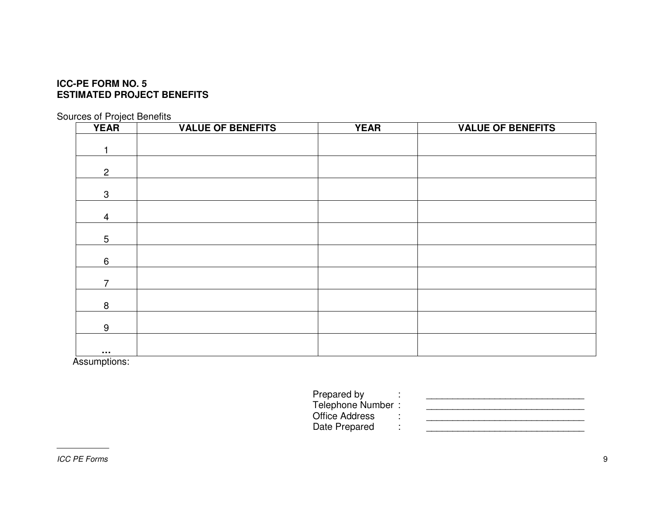# **ICC-PE FORM NO. 5 ESTIMATED PROJECT BENEFITS**

Sources of Project Benefits

| <b>YEAR</b>       | <b>VALUE OF BENEFITS</b> | <b>YEAR</b> | <b>VALUE OF BENEFITS</b> |
|-------------------|--------------------------|-------------|--------------------------|
|                   |                          |             |                          |
| 1                 |                          |             |                          |
|                   |                          |             |                          |
| $\overline{2}$    |                          |             |                          |
| $\mathbf{3}$      |                          |             |                          |
|                   |                          |             |                          |
| $\overline{4}$    |                          |             |                          |
|                   |                          |             |                          |
| $\overline{5}$    |                          |             |                          |
| $6\phantom{1}$    |                          |             |                          |
|                   |                          |             |                          |
| $\overline{7}$    |                          |             |                          |
|                   |                          |             |                          |
| $\bf 8$           |                          |             |                          |
|                   |                          |             |                          |
| $\boldsymbol{9}$  |                          |             |                          |
|                   |                          |             |                          |
| $\sim$ 0.00 $\pm$ |                          |             |                          |

Assumptions:

Office Address :

Prepared by : \_\_\_\_\_\_\_\_\_\_\_\_\_\_\_\_\_\_\_\_\_\_\_\_\_\_\_\_\_\_ Telephone Number : \_\_\_\_\_\_\_\_\_\_\_\_\_\_\_\_\_\_\_\_\_\_\_\_\_\_\_\_\_\_ \_\_\_\_\_\_\_\_\_\_\_\_\_\_\_\_\_\_\_\_\_\_\_\_\_\_\_\_\_\_ Date Prepared : \_\_\_\_\_\_\_\_\_\_\_\_\_\_\_\_\_\_\_\_\_\_\_\_\_\_\_\_\_\_